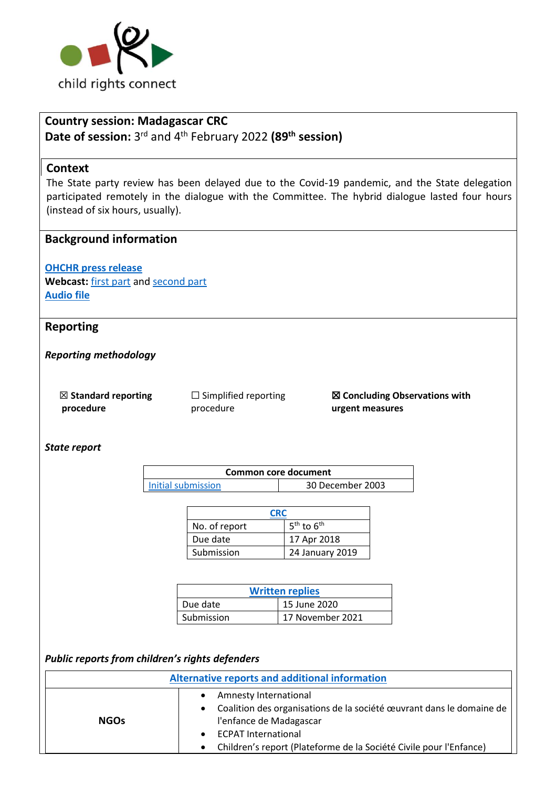

# **Country session: Madagascar CRC Date of session:** 3 rd and 4th February 2022 **(89th session)**

### **Context**

The State party review has been delayed due to the Covid-19 pandemic, and the State delegation participated remotely in the dialogue with the Committee. The hybrid dialogue lasted four hours (instead of six hours, usually).

### **Background information**

**[OHCHR press release](https://ohchr.org/EN/NewsEvents/Pages/DisplayNews.aspx?NewsID=28087&LangID=E) Webcast:** [first part](https://media.un.org/en/asset/k1h/k1hvmwht94) and [second part](https://media.un.org/en/asset/k15/k15wt1xbbo) **[Audio file](https://conf.unog.ch/digitalrecordings/)**

### **Reporting**

*Reporting methodology*

☒ **Standard reporting procedure** 

☐ Simplified reporting procedure

☒ **Concluding Observations with urgent measures**

*State report*

| Common core document |                  |  |
|----------------------|------------------|--|
| Initial submission   | 30 December 2003 |  |

| CRC           |                 |  |
|---------------|-----------------|--|
| No. of report | $5th$ to $6th$  |  |
| Due date      | 17 Apr 2018     |  |
| Submission    | 24 January 2019 |  |

| <b>Written replies</b> |                  |  |
|------------------------|------------------|--|
| Due date               | 15 June 2020     |  |
| Submission             | 17 November 2021 |  |

#### *Public reports from children's rights defenders*

| Alternative reports and additional information |                                                                                                                                                                                                                                                                       |  |
|------------------------------------------------|-----------------------------------------------------------------------------------------------------------------------------------------------------------------------------------------------------------------------------------------------------------------------|--|
| <b>NGOs</b>                                    | Amnesty International<br>$\bullet$<br>• Coalition des organisations de la société œuvrant dans le domaine de<br>l'enfance de Madagascar<br><b>ECPAT International</b><br>$\bullet$<br>Children's report (Plateforme de la Société Civile pour l'Enfance)<br>$\bullet$ |  |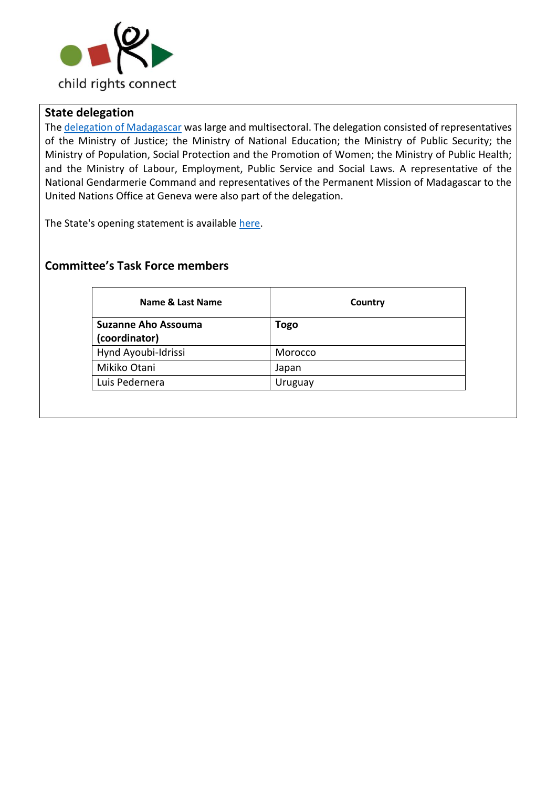

## **State delegation**

The [delegation of Madagascar](https://tbinternet.ohchr.org/_layouts/15/treatybodyexternal/Download.aspx?symbolno=INT%2fCRC%2fLOP%2fMDG%2f47748&Lang=en) was large and multisectoral. The delegation consisted of representatives of the Ministry of Justice; the Ministry of National Education; the Ministry of Public Security; the Ministry of Population, Social Protection and the Promotion of Women; the Ministry of Public Health; and the Ministry of Labour, Employment, Public Service and Social Laws. A representative of the National Gendarmerie Command and representatives of the Permanent Mission of Madagascar to the United Nations Office at Geneva were also part of the delegation.

The State's opening statement is available [here.](https://tbinternet.ohchr.org/_layouts/15/treatybodyexternal/Download.aspx?symbolno=INT%2fCRC%2fSTA%2fMDG%2f47749&Lang=en)

## **Committee's Task Force members**

| Name & Last Name           | Country     |
|----------------------------|-------------|
| <b>Suzanne Aho Assouma</b> | <b>Togo</b> |
| (coordinator)              |             |
| Hynd Ayoubi-Idrissi        | Morocco     |
| Mikiko Otani               | Japan       |
| Luis Pedernera             | Uruguay     |
|                            |             |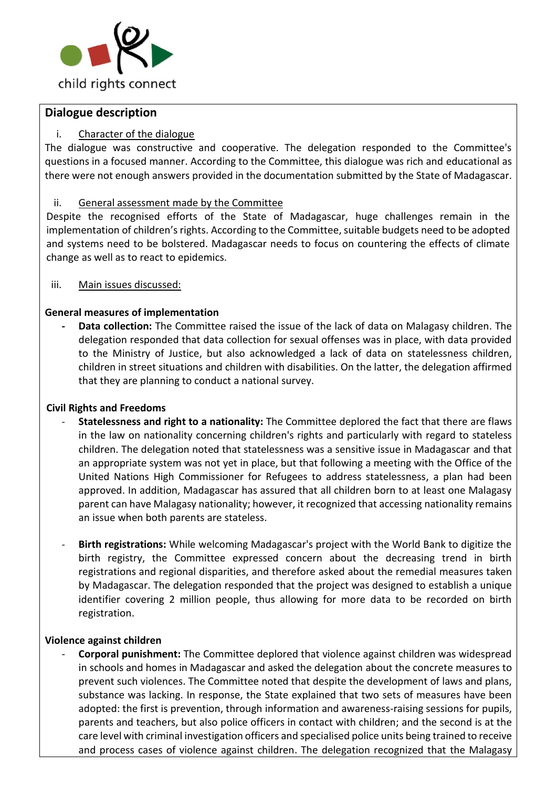

## **Dialogue description**

#### i. Character of the dialogue

The dialogue was constructive and cooperative. The delegation responded to the Committee's questions in a focused manner. According to the Committee, this dialogue was rich and educational as there were not enough answers provided in the documentation submitted by the State of Madagascar.

#### ii. General assessment made by the Committee

Despite the recognised efforts of the State of Madagascar, huge challenges remain in the implementation of children's rights. According to the Committee, suitable budgets need to be adopted and systems need to be bolstered. Madagascar needs to focus on countering the effects of climate change as well as to react to epidemics.

iii. Main issues discussed:

### **General measures of implementation**

**- Data collection:** The Committee raised the issue of the lack of data on Malagasy children. The delegation responded that data collection for sexual offenses was in place, with data provided to the Ministry of Justice, but also acknowledged a lack of data on statelessness children, children in street situations and children with disabilities. On the latter, the delegation affirmed that they are planning to conduct a national survey.

#### **Civil Rights and Freedoms**

- **Statelessness and right to a nationality:** The Committee deplored the fact that there are flaws in the law on nationality concerning children's rights and particularly with regard to stateless children. The delegation noted that statelessness was a sensitive issue in Madagascar and that an appropriate system was not yet in place, but that following a meeting with the Office of the United Nations High Commissioner for Refugees to address statelessness, a plan had been approved. In addition, Madagascar has assured that all children born to at least one Malagasy parent can have Malagasy nationality; however, it recognized that accessing nationality remains an issue when both parents are stateless.
- **Birth registrations:** While welcoming Madagascar's project with the World Bank to digitize the birth registry, the Committee expressed concern about the decreasing trend in birth registrations and regional disparities, and therefore asked about the remedial measures taken by Madagascar. The delegation responded that the project was designed to establish a unique identifier covering 2 million people, thus allowing for more data to be recorded on birth registration.

#### **Violence against children**

- **Corporal punishment:** The Committee deplored that violence against children was widespread in schools and homes in Madagascar and asked the delegation about the concrete measures to prevent such violences. The Committee noted that despite the development of laws and plans, substance was lacking. In response, the State explained that two sets of measures have been adopted: the first is prevention, through information and awareness-raising sessions for pupils, parents and teachers, but also police officers in contact with children; and the second is at the care level with criminal investigation officers and specialised police units being trained to receive and process cases of violence against children. The delegation recognized that the Malagasy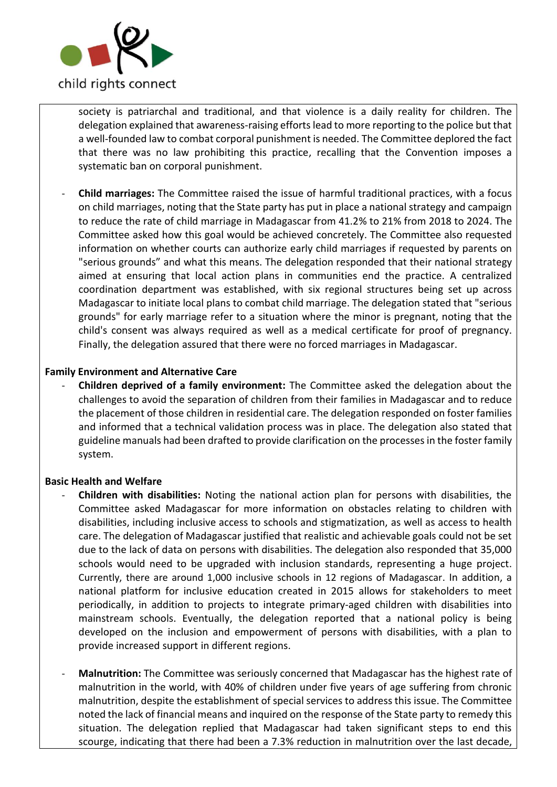

society is patriarchal and traditional, and that violence is a daily reality for children. The delegation explained that awareness-raising efforts lead to more reporting to the police but that a well-founded law to combat corporal punishment is needed. The Committee deplored the fact that there was no law prohibiting this practice, recalling that the Convention imposes a systematic ban on corporal punishment.

- **Child marriages:** The Committee raised the issue of harmful traditional practices, with a focus on child marriages, noting that the State party has put in place a national strategy and campaign to reduce the rate of child marriage in Madagascar from 41.2% to 21% from 2018 to 2024. The Committee asked how this goal would be achieved concretely. The Committee also requested information on whether courts can authorize early child marriages if requested by parents on "serious grounds" and what this means. The delegation responded that their national strategy aimed at ensuring that local action plans in communities end the practice. A centralized coordination department was established, with six regional structures being set up across Madagascar to initiate local plans to combat child marriage. The delegation stated that "serious grounds" for early marriage refer to a situation where the minor is pregnant, noting that the child's consent was always required as well as a medical certificate for proof of pregnancy. Finally, the delegation assured that there were no forced marriages in Madagascar.

#### **Family Environment and Alternative Care**

- **Children deprived of a family environment:** The Committee asked the delegation about the challenges to avoid the separation of children from their families in Madagascar and to reduce the placement of those children in residential care. The delegation responded on foster families and informed that a technical validation process was in place. The delegation also stated that guideline manuals had been drafted to provide clarification on the processes in the foster family system.

#### **Basic Health and Welfare**

- **Children with disabilities:** Noting the national action plan for persons with disabilities, the Committee asked Madagascar for more information on obstacles relating to children with disabilities, including inclusive access to schools and stigmatization, as well as access to health care. The delegation of Madagascar justified that realistic and achievable goals could not be set due to the lack of data on persons with disabilities. The delegation also responded that 35,000 schools would need to be upgraded with inclusion standards, representing a huge project. Currently, there are around 1,000 inclusive schools in 12 regions of Madagascar. In addition, a national platform for inclusive education created in 2015 allows for stakeholders to meet periodically, in addition to projects to integrate primary-aged children with disabilities into mainstream schools. Eventually, the delegation reported that a national policy is being developed on the inclusion and empowerment of persons with disabilities, with a plan to provide increased support in different regions.
- **Malnutrition:** The Committee was seriously concerned that Madagascar has the highest rate of malnutrition in the world, with 40% of children under five years of age suffering from chronic malnutrition, despite the establishment of special services to address this issue. The Committee noted the lack of financial means and inquired on the response of the State party to remedy this situation. The delegation replied that Madagascar had taken significant steps to end this scourge, indicating that there had been a 7.3% reduction in malnutrition over the last decade,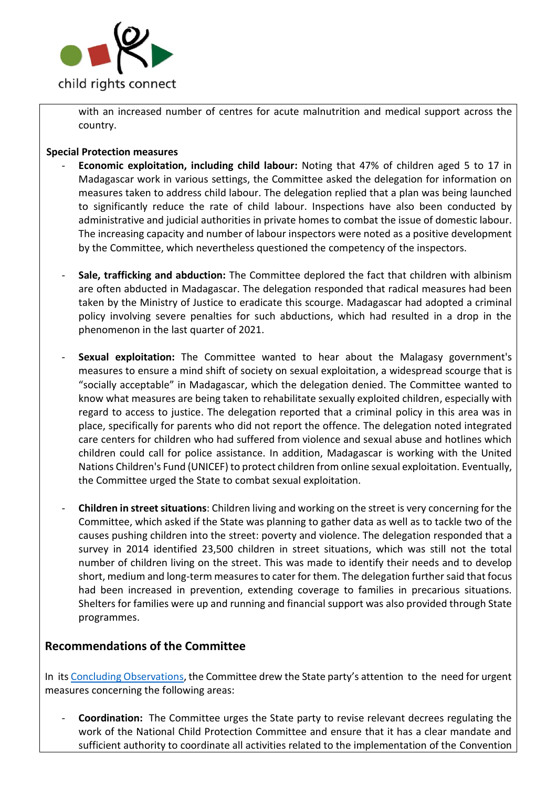

with an increased number of centres for acute malnutrition and medical support across the country.

#### **Special Protection measures**

- **Economic exploitation, including child labour:** Noting that 47% of children aged 5 to 17 in Madagascar work in various settings, the Committee asked the delegation for information on measures taken to address child labour. The delegation replied that a plan was being launched to significantly reduce the rate of child labour. Inspections have also been conducted by administrative and judicial authorities in private homes to combat the issue of domestic labour. The increasing capacity and number of labour inspectors were noted as a positive development by the Committee, which nevertheless questioned the competency of the inspectors.
- **Sale, trafficking and abduction:** The Committee deplored the fact that children with albinism are often abducted in Madagascar. The delegation responded that radical measures had been taken by the Ministry of Justice to eradicate this scourge. Madagascar had adopted a criminal policy involving severe penalties for such abductions, which had resulted in a drop in the phenomenon in the last quarter of 2021.
- Sexual exploitation: The Committee wanted to hear about the Malagasy government's measures to ensure a mind shift of society on sexual exploitation, a widespread scourge that is "socially acceptable" in Madagascar, which the delegation denied. The Committee wanted to know what measures are being taken to rehabilitate sexually exploited children, especially with regard to access to justice. The delegation reported that a criminal policy in this area was in place, specifically for parents who did not report the offence. The delegation noted integrated care centers for children who had suffered from violence and sexual abuse and hotlines which children could call for police assistance. In addition, Madagascar is working with the United Nations Children's Fund (UNICEF) to protect children from online sexual exploitation. Eventually, the Committee urged the State to combat sexual exploitation.
- **Children in street situations**: Children living and working on the street is very concerning for the Committee, which asked if the State was planning to gather data as well as to tackle two of the causes pushing children into the street: poverty and violence. The delegation responded that a survey in 2014 identified 23,500 children in street situations, which was still not the total number of children living on the street. This was made to identify their needs and to develop short, medium and long-term measures to cater for them. The delegation further said that focus had been increased in prevention, extending coverage to families in precarious situations. Shelters for families were up and running and financial support was also provided through State programmes.

## **Recommendations of the Committee**

In it[s Concluding Observations,](https://tbinternet.ohchr.org/_layouts/15/treatybodyexternal/Download.aspx?symbolno=CRC%2fC%2fMDG%2fCO%2f5-6&Lang=en) the Committee drew the State party's attention to the need for urgent measures concerning the following areas:

- **Coordination:** The Committee urges the State party to revise relevant decrees regulating the work of the National Child Protection Committee and ensure that it has a clear mandate and sufficient authority to coordinate all activities related to the implementation of the Convention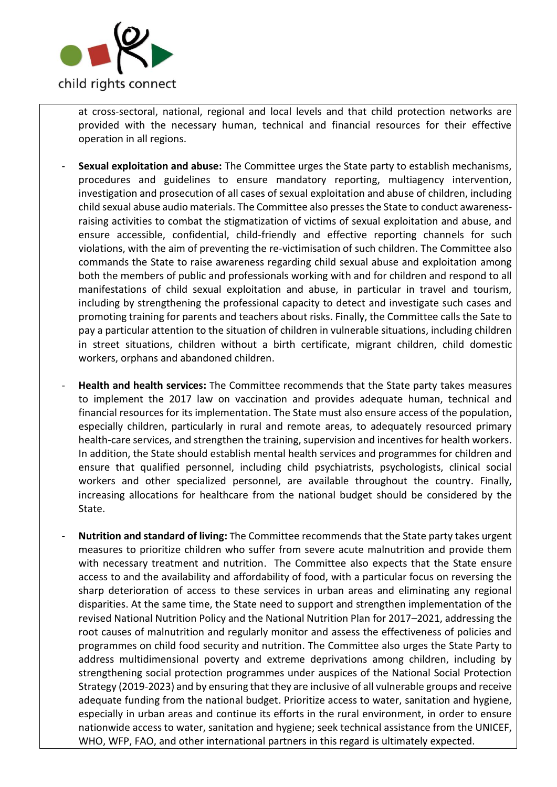

at cross-sectoral, national, regional and local levels and that child protection networks are provided with the necessary human, technical and financial resources for their effective operation in all regions.

- **Sexual exploitation and abuse:** The Committee urges the State party to establish mechanisms, procedures and guidelines to ensure mandatory reporting, multiagency intervention, investigation and prosecution of all cases of sexual exploitation and abuse of children, including child sexual abuse audio materials. The Committee also presses the State to conduct awarenessraising activities to combat the stigmatization of victims of sexual exploitation and abuse, and ensure accessible, confidential, child-friendly and effective reporting channels for such violations, with the aim of preventing the re-victimisation of such children. The Committee also commands the State to raise awareness regarding child sexual abuse and exploitation among both the members of public and professionals working with and for children and respond to all manifestations of child sexual exploitation and abuse, in particular in travel and tourism, including by strengthening the professional capacity to detect and investigate such cases and promoting training for parents and teachers about risks. Finally, the Committee calls the Sate to pay a particular attention to the situation of children in vulnerable situations, including children in street situations, children without a birth certificate, migrant children, child domestic workers, orphans and abandoned children.
- **Health and health services:** The Committee recommends that the State party takes measures to implement the 2017 law on vaccination and provides adequate human, technical and financial resources for its implementation. The State must also ensure access of the population, especially children, particularly in rural and remote areas, to adequately resourced primary health-care services, and strengthen the training, supervision and incentives for health workers. In addition, the State should establish mental health services and programmes for children and ensure that qualified personnel, including child psychiatrists, psychologists, clinical social workers and other specialized personnel, are available throughout the country. Finally, increasing allocations for healthcare from the national budget should be considered by the State.
- **Nutrition and standard of living:** The Committee recommends that the State party takes urgent measures to prioritize children who suffer from severe acute malnutrition and provide them with necessary treatment and nutrition. The Committee also expects that the State ensure access to and the availability and affordability of food, with a particular focus on reversing the sharp deterioration of access to these services in urban areas and eliminating any regional disparities. At the same time, the State need to support and strengthen implementation of the revised National Nutrition Policy and the National Nutrition Plan for 2017–2021, addressing the root causes of malnutrition and regularly monitor and assess the effectiveness of policies and programmes on child food security and nutrition. The Committee also urges the State Party to address multidimensional poverty and extreme deprivations among children, including by strengthening social protection programmes under auspices of the National Social Protection Strategy (2019-2023) and by ensuring that they are inclusive of all vulnerable groups and receive adequate funding from the national budget. Prioritize access to water, sanitation and hygiene, especially in urban areas and continue its efforts in the rural environment, in order to ensure nationwide access to water, sanitation and hygiene; seek technical assistance from the UNICEF, WHO, WFP, FAO, and other international partners in this regard is ultimately expected.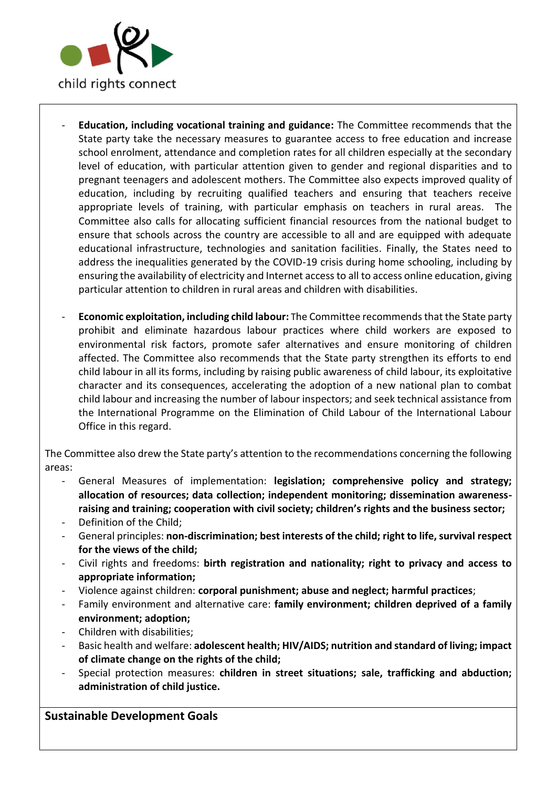

- **Education, including vocational training and guidance:** The Committee recommends that the State party take the necessary measures to guarantee access to free education and increase school enrolment, attendance and completion rates for all children especially at the secondary level of education, with particular attention given to gender and regional disparities and to pregnant teenagers and adolescent mothers. The Committee also expects improved quality of education, including by recruiting qualified teachers and ensuring that teachers receive appropriate levels of training, with particular emphasis on teachers in rural areas. The Committee also calls for allocating sufficient financial resources from the national budget to ensure that schools across the country are accessible to all and are equipped with adequate educational infrastructure, technologies and sanitation facilities. Finally, the States need to address the inequalities generated by the COVID-19 crisis during home schooling, including by ensuring the availability of electricity and Internet access to all to access online education, giving particular attention to children in rural areas and children with disabilities.
- **Economic exploitation, including child labour:** The Committee recommends that the State party prohibit and eliminate hazardous labour practices where child workers are exposed to environmental risk factors, promote safer alternatives and ensure monitoring of children affected. The Committee also recommends that the State party strengthen its efforts to end child labour in all its forms, including by raising public awareness of child labour, its exploitative character and its consequences, accelerating the adoption of a new national plan to combat child labour and increasing the number of labour inspectors; and seek technical assistance from the International Programme on the Elimination of Child Labour of the International Labour Office in this regard.

The Committee also drew the State party's attention to the recommendations concerning the following areas:

- General Measures of implementation: **legislation; comprehensive policy and strategy; allocation of resources; data collection; independent monitoring; dissemination awarenessraising and training; cooperation with civil society; children's rights and the business sector;**
- Definition of the Child;
- General principles: **non-discrimination; best interests of the child; right to life, survival respect for the views of the child;**
- Civil rights and freedoms: **birth registration and nationality; right to privacy and access to appropriate information;**
- Violence against children: **corporal punishment; abuse and neglect; harmful practices**;
- Family environment and alternative care: **family environment; children deprived of a family environment; adoption;**
- Children with disabilities;
- Basic health and welfare: **adolescent health; HIV/AIDS; nutrition and standard of living; impact of climate change on the rights of the child;**
- Special protection measures: **children in street situations; sale, trafficking and abduction; administration of child justice.**

## **Sustainable Development Goals**